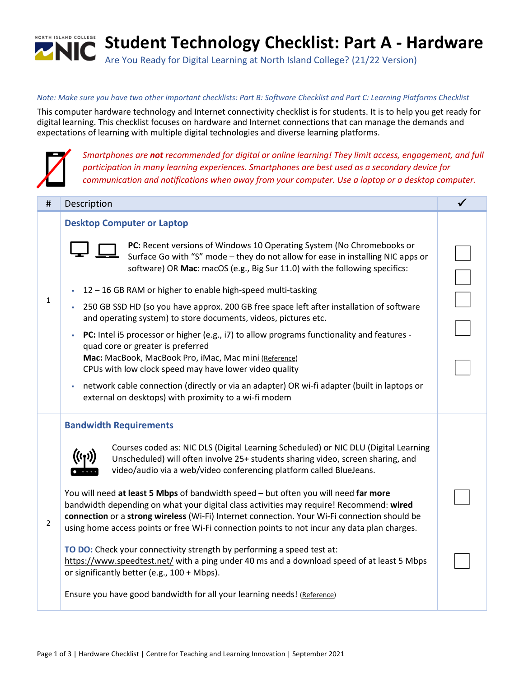

## *Note: Make sure you have two other important checklists: Part B: Software Checklist and Part C: Learning Platforms Checklist*

This computer hardware technology and Internet connectivity checklist is for students. It is to help you get ready for digital learning. This checklist focuses on hardware and Internet connections that can manage the demands and expectations of learning with multiple digital technologies and diverse learning platforms.



*Smartphones are not recommended for digital or online learning! They limit access, engagement, and full participation in many learning experiences. Smartphones are best used as a secondary device for communication and notifications when away from your computer. Use a laptop or a desktop computer.*

| #              | Description                                                                                                                                                                                                                                                                                                                                                                    |  |
|----------------|--------------------------------------------------------------------------------------------------------------------------------------------------------------------------------------------------------------------------------------------------------------------------------------------------------------------------------------------------------------------------------|--|
|                | <b>Desktop Computer or Laptop</b>                                                                                                                                                                                                                                                                                                                                              |  |
| 1              | PC: Recent versions of Windows 10 Operating System (No Chromebooks or<br>Surface Go with "S" mode - they do not allow for ease in installing NIC apps or<br>software) OR Mac: macOS (e.g., Big Sur 11.0) with the following specifics:                                                                                                                                         |  |
|                | 12 - 16 GB RAM or higher to enable high-speed multi-tasking                                                                                                                                                                                                                                                                                                                    |  |
|                | 250 GB SSD HD (so you have approx. 200 GB free space left after installation of software<br>×,<br>and operating system) to store documents, videos, pictures etc.                                                                                                                                                                                                              |  |
|                | PC: Intel i5 processor or higher (e.g., i7) to allow programs functionality and features -<br>×,<br>quad core or greater is preferred                                                                                                                                                                                                                                          |  |
|                | Mac: MacBook, MacBook Pro, iMac, Mac mini (Reference)<br>CPUs with low clock speed may have lower video quality                                                                                                                                                                                                                                                                |  |
|                | network cable connection (directly or via an adapter) OR wi-fi adapter (built in laptops or<br>×<br>external on desktops) with proximity to a wi-fi modem                                                                                                                                                                                                                      |  |
|                | <b>Bandwidth Requirements</b>                                                                                                                                                                                                                                                                                                                                                  |  |
| $\overline{2}$ | Courses coded as: NIC DLS (Digital Learning Scheduled) or NIC DLU (Digital Learning<br>Unscheduled) will often involve 25+ students sharing video, screen sharing, and<br>video/audio via a web/video conferencing platform called BlueJeans.                                                                                                                                  |  |
|                | You will need at least 5 Mbps of bandwidth speed - but often you will need far more<br>bandwidth depending on what your digital class activities may require! Recommend: wired<br>connection or a strong wireless (Wi-Fi) Internet connection. Your Wi-Fi connection should be<br>using home access points or free Wi-Fi connection points to not incur any data plan charges. |  |
|                | TO DO: Check your connectivity strength by performing a speed test at:<br>https://www.speedtest.net/ with a ping under 40 ms and a download speed of at least 5 Mbps<br>or significantly better (e.g., 100 + Mbps).                                                                                                                                                            |  |
|                | Ensure you have good bandwidth for all your learning needs! (Reference)                                                                                                                                                                                                                                                                                                        |  |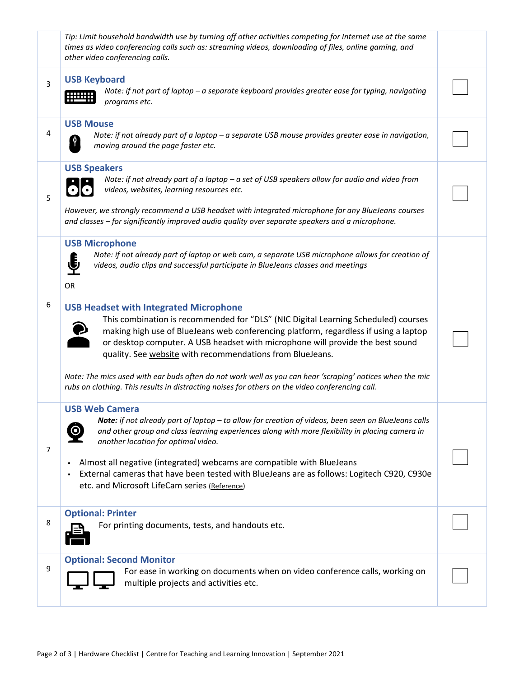|                | Tip: Limit household bandwidth use by turning off other activities competing for Internet use at the same<br>times as video conferencing calls such as: streaming videos, downloading of files, online gaming, and<br>other video conferencing calls.                                                                                                                      |  |
|----------------|----------------------------------------------------------------------------------------------------------------------------------------------------------------------------------------------------------------------------------------------------------------------------------------------------------------------------------------------------------------------------|--|
| 3              | <b>USB Keyboard</b><br>Note: if not part of laptop - a separate keyboard provides greater ease for typing, navigating<br>programs etc.                                                                                                                                                                                                                                     |  |
| 4              | <b>USB Mouse</b><br>Note: if not already part of a laptop - a separate USB mouse provides greater ease in navigation,<br>moving around the page faster etc.                                                                                                                                                                                                                |  |
| 5              | <b>USB Speakers</b><br>Note: if not already part of a laptop $-a$ set of USB speakers allow for audio and video from<br>videos, websites, learning resources etc.                                                                                                                                                                                                          |  |
|                | However, we strongly recommend a USB headset with integrated microphone for any BlueJeans courses<br>and classes - for significantly improved audio quality over separate speakers and a microphone.                                                                                                                                                                       |  |
|                | <b>USB Microphone</b><br>Note: if not already part of laptop or web cam, a separate USB microphone allows for creation of<br>∯<br>videos, audio clips and successful participate in BlueJeans classes and meetings<br>OR                                                                                                                                                   |  |
| 6              | <b>USB Headset with Integrated Microphone</b><br>This combination is recommended for "DLS" (NIC Digital Learning Scheduled) courses<br>making high use of BlueJeans web conferencing platform, regardless if using a laptop<br>or desktop computer. A USB headset with microphone will provide the best sound<br>quality. See website with recommendations from BlueJeans. |  |
|                | Note: The mics used with ear buds often do not work well as you can hear 'scraping' notices when the mic<br>rubs on clothing. This results in distracting noises for others on the video conferencing call.                                                                                                                                                                |  |
| $\overline{7}$ | <b>USB Web Camera</b><br>Note: if not already part of laptop - to allow for creation of videos, been seen on BlueJeans calls<br>and other group and class learning experiences along with more flexibility in placing camera in<br>another location for optimal video.                                                                                                     |  |
|                | Almost all negative (integrated) webcams are compatible with BlueJeans<br>٠<br>External cameras that have been tested with BlueJeans are as follows: Logitech C920, C930e<br>etc. and Microsoft LifeCam series (Reference)                                                                                                                                                 |  |
| 8              | <b>Optional: Printer</b><br>For printing documents, tests, and handouts etc.                                                                                                                                                                                                                                                                                               |  |
| 9              | <b>Optional: Second Monitor</b><br>For ease in working on documents when on video conference calls, working on<br>multiple projects and activities etc.                                                                                                                                                                                                                    |  |